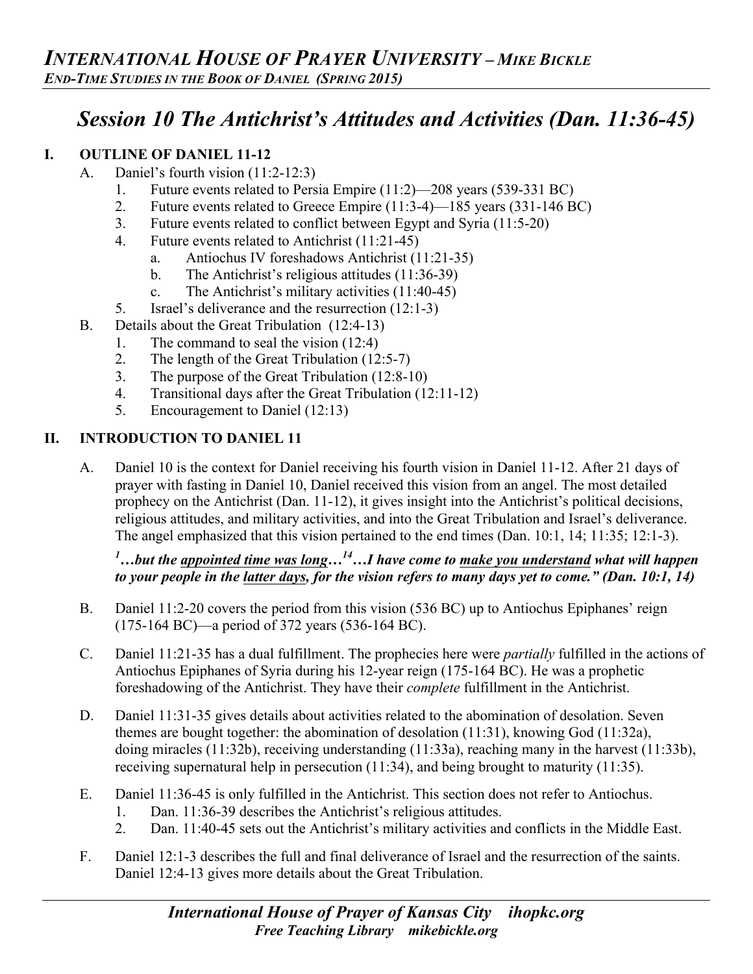# *Session 10 The Antichrist's Attitudes and Activities (Dan. 11:36-45)*

## **I. OUTLINE OF DANIEL 11-12**

- A. Daniel's fourth vision (11:2-12:3)
	- 1. Future events related to Persia Empire (11:2)—208 years (539-331 BC)
	- 2. Future events related to Greece Empire (11:3-4)—185 years (331-146 BC)
	- 3. Future events related to conflict between Egypt and Syria (11:5-20)
	- 4. Future events related to Antichrist (11:21-45)
		- a. Antiochus IV foreshadows Antichrist (11:21-35)
		- b. The Antichrist's religious attitudes (11:36-39)
		- c. The Antichrist's military activities (11:40-45)
	- 5. Israel's deliverance and the resurrection (12:1-3)
- B. Details about the Great Tribulation (12:4-13)
	- 1. The command to seal the vision (12:4)
	- 2. The length of the Great Tribulation (12:5-7)
	- 3. The purpose of the Great Tribulation (12:8-10)
	- 4. Transitional days after the Great Tribulation (12:11-12)
	- 5. Encouragement to Daniel (12:13)

#### **II. INTRODUCTION TO DANIEL 11**

A. Daniel 10 is the context for Daniel receiving his fourth vision in Daniel 11-12. After 21 days of prayer with fasting in Daniel 10, Daniel received this vision from an angel. The most detailed prophecy on the Antichrist (Dan. 11-12), it gives insight into the Antichrist's political decisions, religious attitudes, and military activities, and into the Great Tribulation and Israel's deliverance. The angel emphasized that this vision pertained to the end times (Dan. 10:1, 14; 11:35; 12:1-3).

## *1 …but the appointed time was long…14…I have come to make you understand what will happen to your people in the latter days, for the vision refers to many days yet to come." (Dan. 10:1, 14)*

- B. Daniel 11:2-20 covers the period from this vision (536 BC) up to Antiochus Epiphanes' reign (175-164 BC)—a period of 372 years (536-164 BC).
- C. Daniel 11:21-35 has a dual fulfillment. The prophecies here were *partially* fulfilled in the actions of Antiochus Epiphanes of Syria during his 12-year reign (175-164 BC). He was a prophetic foreshadowing of the Antichrist. They have their *complete* fulfillment in the Antichrist.
- D. Daniel 11:31-35 gives details about activities related to the abomination of desolation. Seven themes are bought together: the abomination of desolation (11:31), knowing God (11:32a), doing miracles (11:32b), receiving understanding (11:33a), reaching many in the harvest (11:33b), receiving supernatural help in persecution (11:34), and being brought to maturity (11:35).
- E. Daniel 11:36-45 is only fulfilled in the Antichrist. This section does not refer to Antiochus.
	- 1. Dan. 11:36-39 describes the Antichrist's religious attitudes.
	- 2. Dan. 11:40-45 sets out the Antichrist's military activities and conflicts in the Middle East.
- F. Daniel 12:1-3 describes the full and final deliverance of Israel and the resurrection of the saints. Daniel 12:4-13 gives more details about the Great Tribulation.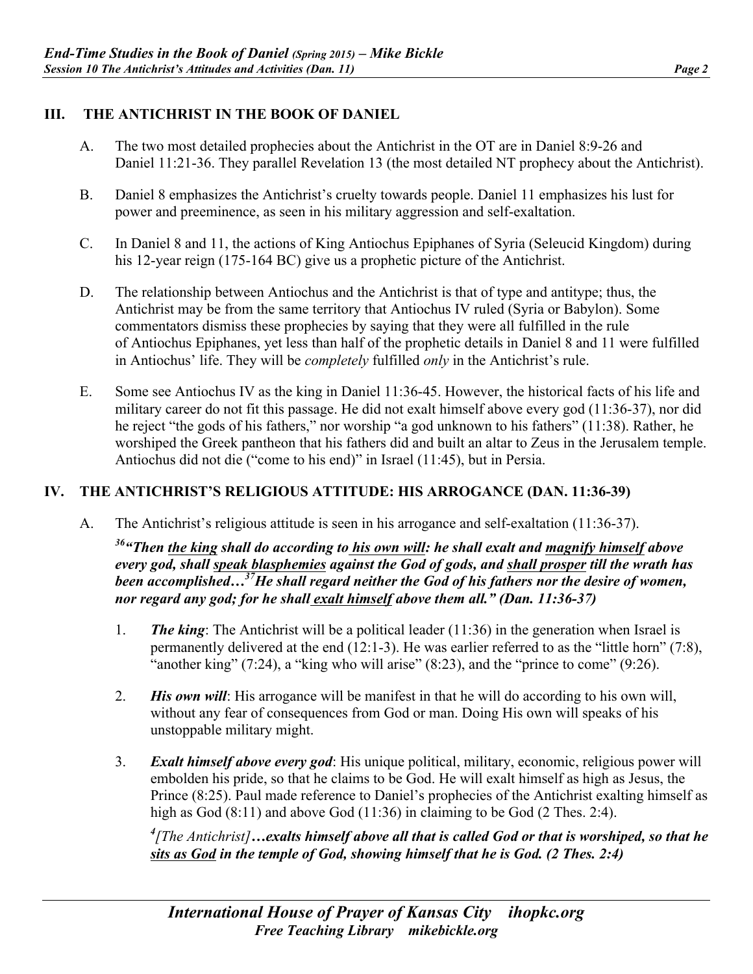## **III. THE ANTICHRIST IN THE BOOK OF DANIEL**

- A. The two most detailed prophecies about the Antichrist in the OT are in Daniel 8:9-26 and Daniel 11:21-36. They parallel Revelation 13 (the most detailed NT prophecy about the Antichrist).
- B. Daniel 8 emphasizes the Antichrist's cruelty towards people. Daniel 11 emphasizes his lust for power and preeminence, as seen in his military aggression and self-exaltation.
- C. In Daniel 8 and 11, the actions of King Antiochus Epiphanes of Syria (Seleucid Kingdom) during his 12-year reign (175-164 BC) give us a prophetic picture of the Antichrist.
- D. The relationship between Antiochus and the Antichrist is that of type and antitype; thus, the Antichrist may be from the same territory that Antiochus IV ruled (Syria or Babylon). Some commentators dismiss these prophecies by saying that they were all fulfilled in the rule of Antiochus Epiphanes, yet less than half of the prophetic details in Daniel 8 and 11 were fulfilled in Antiochus' life. They will be *completely* fulfilled *only* in the Antichrist's rule.
- E. Some see Antiochus IV as the king in Daniel 11:36-45. However, the historical facts of his life and military career do not fit this passage. He did not exalt himself above every god (11:36-37), nor did he reject "the gods of his fathers," nor worship "a god unknown to his fathers" (11:38). Rather, he worshiped the Greek pantheon that his fathers did and built an altar to Zeus in the Jerusalem temple. Antiochus did not die ("come to his end)" in Israel (11:45), but in Persia.

#### **IV. THE ANTICHRIST'S RELIGIOUS ATTITUDE: HIS ARROGANCE (DAN. 11:36-39)**

A. The Antichrist's religious attitude is seen in his arrogance and self-exaltation (11:36-37).

*36"Then the king shall do according to his own will: he shall exalt and magnify himself above every god, shall speak blasphemies against the God of gods, and shall prosper till the wrath has been accomplished…37He shall regard neither the God of his fathers nor the desire of women, nor regard any god; for he shall exalt himself above them all." (Dan. 11:36-37)* 

- 1. *The king*: The Antichrist will be a political leader (11:36) in the generation when Israel is permanently delivered at the end (12:1-3). He was earlier referred to as the "little horn" (7:8), "another king"  $(7:24)$ , a "king who will arise"  $(8:23)$ , and the "prince to come"  $(9:26)$ .
- 2. *His own will*: His arrogance will be manifest in that he will do according to his own will, without any fear of consequences from God or man. Doing His own will speaks of his unstoppable military might.
- 3. *Exalt himself above every god*: His unique political, military, economic, religious power will embolden his pride, so that he claims to be God. He will exalt himself as high as Jesus, the Prince (8:25). Paul made reference to Daniel's prophecies of the Antichrist exalting himself as high as God (8:11) and above God (11:36) in claiming to be God (2 Thes. 2:4).

*4 [The Antichrist]…exalts himself above all that is called God or that is worshiped, so that he sits as God in the temple of God, showing himself that he is God. (2 Thes. 2:4)*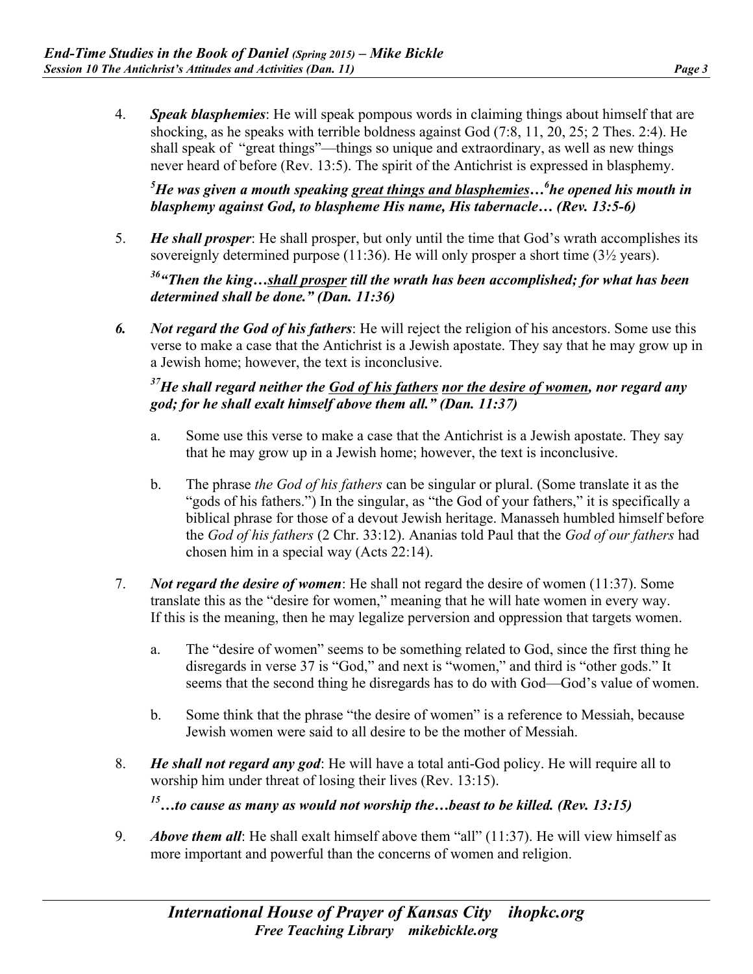4. *Speak blasphemies*: He will speak pompous words in claiming things about himself that are shocking, as he speaks with terrible boldness against God (7:8, 11, 20, 25; 2 Thes. 2:4). He shall speak of "great things"—things so unique and extraordinary, as well as new things never heard of before (Rev. 13:5). The spirit of the Antichrist is expressed in blasphemy.

*5 He was given a mouth speaking great things and blasphemies…6 he opened his mouth in blasphemy against God, to blaspheme His name, His tabernacle… (Rev. 13:5-6)* 

5. *He shall prosper*: He shall prosper, but only until the time that God's wrath accomplishes its sovereignly determined purpose (11:36). He will only prosper a short time (3<sup>1</sup>/<sub>2</sub> years).

*36"Then the king…shall prosper till the wrath has been accomplished; for what has been determined shall be done." (Dan. 11:36)* 

*6. Not regard the God of his fathers*: He will reject the religion of his ancestors. Some use this verse to make a case that the Antichrist is a Jewish apostate. They say that he may grow up in a Jewish home; however, the text is inconclusive.

## *37He shall regard neither the God of his fathers nor the desire of women, nor regard any god; for he shall exalt himself above them all." (Dan. 11:37)*

- a. Some use this verse to make a case that the Antichrist is a Jewish apostate. They say that he may grow up in a Jewish home; however, the text is inconclusive.
- b. The phrase *the God of his fathers* can be singular or plural. (Some translate it as the "gods of his fathers.") In the singular, as "the God of your fathers," it is specifically a biblical phrase for those of a devout Jewish heritage. Manasseh humbled himself before the *God of his fathers* (2 Chr. 33:12). Ananias told Paul that the *God of our fathers* had chosen him in a special way (Acts 22:14).
- 7. *Not regard the desire of women*: He shall not regard the desire of women (11:37). Some translate this as the "desire for women," meaning that he will hate women in every way. If this is the meaning, then he may legalize perversion and oppression that targets women.
	- a. The "desire of women" seems to be something related to God, since the first thing he disregards in verse 37 is "God," and next is "women," and third is "other gods." It seems that the second thing he disregards has to do with God—God's value of women.
	- b. Some think that the phrase "the desire of women" is a reference to Messiah, because Jewish women were said to all desire to be the mother of Messiah.
- 8. *He shall not regard any god*: He will have a total anti-God policy. He will require all to worship him under threat of losing their lives (Rev. 13:15).

*15…to cause as many as would not worship the…beast to be killed. (Rev. 13:15)* 

9. *Above them all*: He shall exalt himself above them "all" (11:37). He will view himself as more important and powerful than the concerns of women and religion.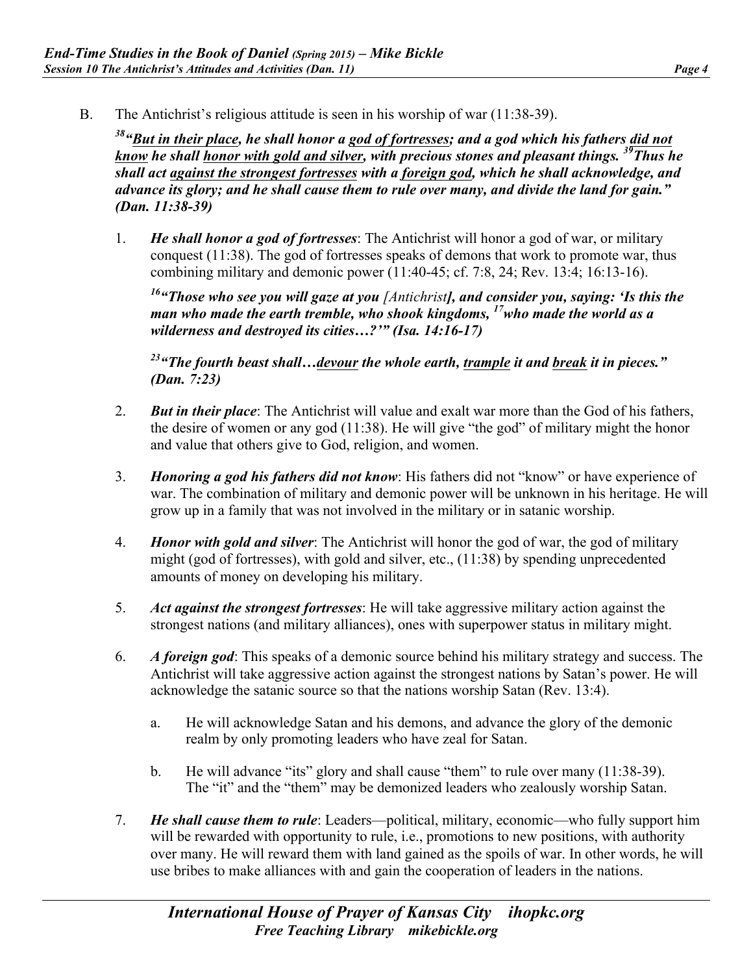B. The Antichrist's religious attitude is seen in his worship of war (11:38-39).

*38"But in their place, he shall honor a god of fortresses; and a god which his fathers did not know he shall honor with gold and silver, with precious stones and pleasant things. 39Thus he shall act against the strongest fortresses with a foreign god, which he shall acknowledge, and advance its glory; and he shall cause them to rule over many, and divide the land for gain." (Dan. 11:38-39)* 

1. *He shall honor a god of fortresses*: The Antichrist will honor a god of war, or military conquest (11:38). The god of fortresses speaks of demons that work to promote war, thus combining military and demonic power (11:40-45; cf. 7:8, 24; Rev. 13:4; 16:13-16).

*16"Those who see you will gaze at you [Antichrist], and consider you, saying: 'Is this the man who made the earth tremble, who shook kingdoms, 17who made the world as a wilderness and destroyed its cities…?'" (Isa. 14:16-17)* 

*23"The fourth beast shall…devour the whole earth, trample it and break it in pieces." (Dan. 7:23)* 

- 2. *But in their place*: The Antichrist will value and exalt war more than the God of his fathers, the desire of women or any god (11:38). He will give "the god" of military might the honor and value that others give to God, religion, and women.
- 3. *Honoring a god his fathers did not know*: His fathers did not "know" or have experience of war. The combination of military and demonic power will be unknown in his heritage. He will grow up in a family that was not involved in the military or in satanic worship.
- 4. *Honor with gold and silver*: The Antichrist will honor the god of war, the god of military might (god of fortresses), with gold and silver, etc., (11:38) by spending unprecedented amounts of money on developing his military.
- 5. *Act against the strongest fortresses*: He will take aggressive military action against the strongest nations (and military alliances), ones with superpower status in military might.
- 6. *A foreign god*: This speaks of a demonic source behind his military strategy and success. The Antichrist will take aggressive action against the strongest nations by Satan's power. He will acknowledge the satanic source so that the nations worship Satan (Rev. 13:4).
	- a. He will acknowledge Satan and his demons, and advance the glory of the demonic realm by only promoting leaders who have zeal for Satan.
	- b. He will advance "its" glory and shall cause "them" to rule over many (11:38-39). The "it" and the "them" may be demonized leaders who zealously worship Satan.
- 7. *He shall cause them to rule*: Leaders—political, military, economic—who fully support him will be rewarded with opportunity to rule, i.e., promotions to new positions, with authority over many. He will reward them with land gained as the spoils of war. In other words, he will use bribes to make alliances with and gain the cooperation of leaders in the nations.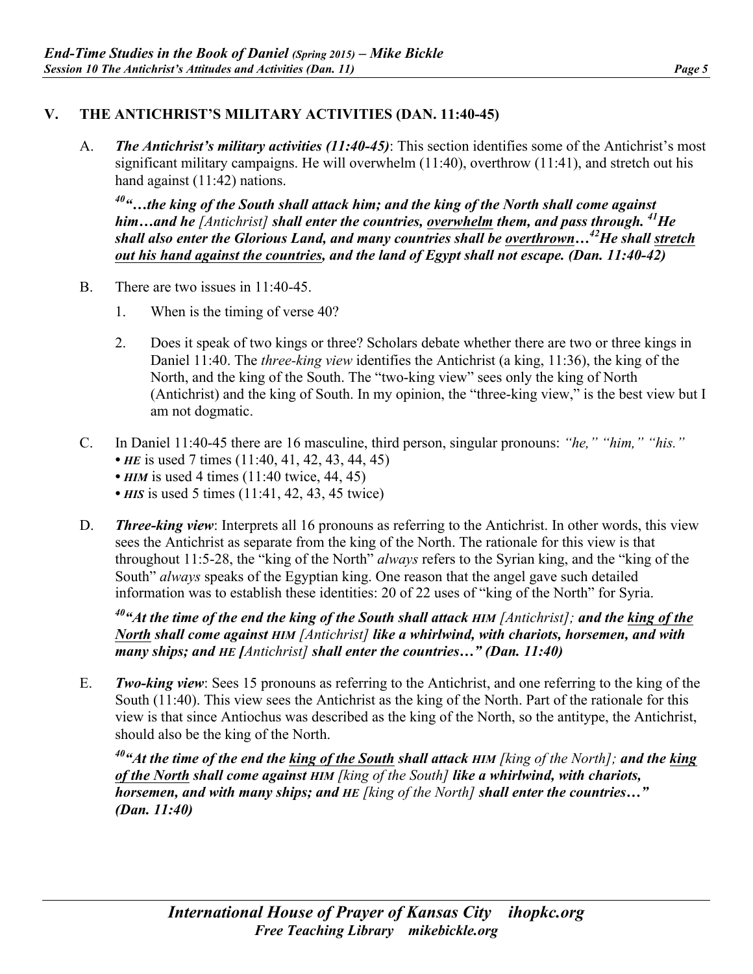## **V. THE ANTICHRIST'S MILITARY ACTIVITIES (DAN. 11:40-45)**

A. *The Antichrist's military activities (11:40-45)*: This section identifies some of the Antichrist's most significant military campaigns. He will overwhelm (11:40), overthrow (11:41), and stretch out his hand against  $(11:42)$  nations.

*40"…the king of the South shall attack him; and the king of the North shall come against him…and he [Antichrist] shall enter the countries, overwhelm them, and pass through. 41He shall also enter the Glorious Land, and many countries shall be overthrown…42He shall stretch out his hand against the countries, and the land of Egypt shall not escape. (Dan. 11:40-42)*

- B. There are two issues in 11:40-45.
	- 1. When is the timing of verse 40?
	- 2. Does it speak of two kings or three? Scholars debate whether there are two or three kings in Daniel 11:40. The *three-king view* identifies the Antichrist (a king, 11:36), the king of the North, and the king of the South. The "two-king view" sees only the king of North (Antichrist) and the king of South. In my opinion, the "three-king view," is the best view but I am not dogmatic.
- C. In Daniel 11:40-45 there are 16 masculine, third person, singular pronouns: *"he," "him," "his."*
	- *HE* is used 7 times (11:40, 41, 42, 43, 44, 45)
	- *HIM* is used 4 times (11:40 twice, 44, 45)
	- *HIS* is used 5 times (11:41, 42, 43, 45 twice)
- D. *Three-king view*: Interprets all 16 pronouns as referring to the Antichrist. In other words, this view sees the Antichrist as separate from the king of the North. The rationale for this view is that throughout 11:5-28, the "king of the North" *always* refers to the Syrian king, and the "king of the South" *always* speaks of the Egyptian king. One reason that the angel gave such detailed information was to establish these identities: 20 of 22 uses of "king of the North" for Syria.

*40"At the time of the end the king of the South shall attack HIM [Antichrist]; and the king of the North shall come against HIM [Antichrist] like a whirlwind, with chariots, horsemen, and with many ships; and HE [Antichrist] shall enter the countries…" (Dan. 11:40)* 

E. *Two-king view*: Sees 15 pronouns as referring to the Antichrist, and one referring to the king of the South (11:40). This view sees the Antichrist as the king of the North. Part of the rationale for this view is that since Antiochus was described as the king of the North, so the antitype, the Antichrist, should also be the king of the North.

*40"At the time of the end the king of the South shall attack HIM [king of the North]; and the king of the North shall come against HIM [king of the South] like a whirlwind, with chariots, horsemen, and with many ships; and HE [king of the North] shall enter the countries…" (Dan. 11:40)*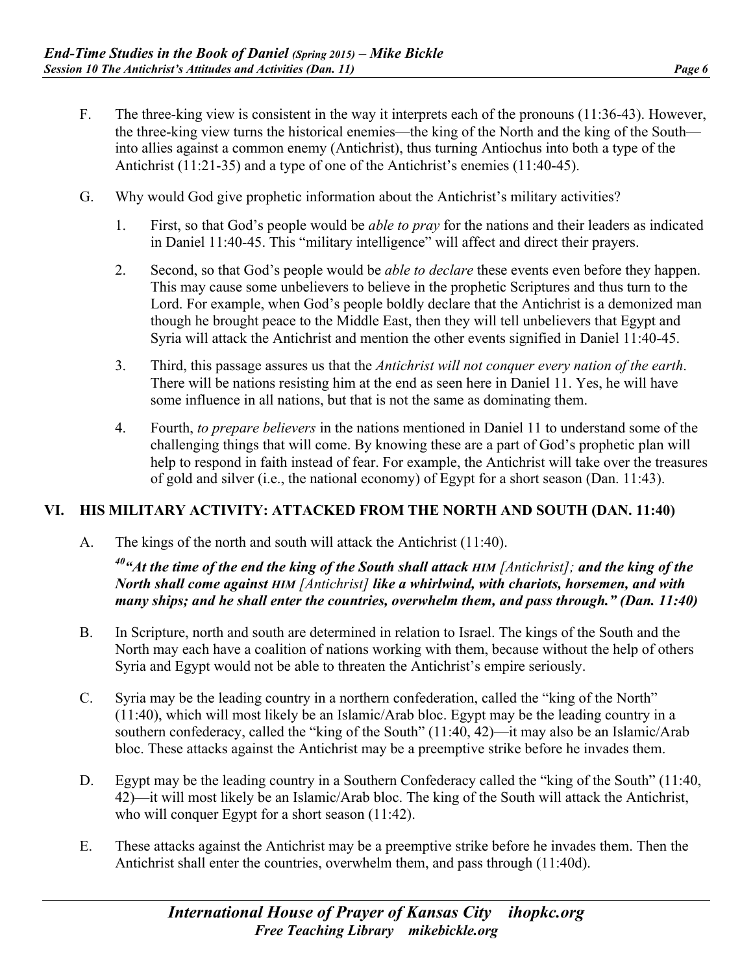- F. The three-king view is consistent in the way it interprets each of the pronouns (11:36-43). However, the three-king view turns the historical enemies—the king of the North and the king of the South into allies against a common enemy (Antichrist), thus turning Antiochus into both a type of the Antichrist (11:21-35) and a type of one of the Antichrist's enemies (11:40-45).
- G. Why would God give prophetic information about the Antichrist's military activities?
	- 1. First, so that God's people would be *able to pray* for the nations and their leaders as indicated in Daniel 11:40-45. This "military intelligence" will affect and direct their prayers.
	- 2. Second, so that God's people would be *able to declare* these events even before they happen. This may cause some unbelievers to believe in the prophetic Scriptures and thus turn to the Lord. For example, when God's people boldly declare that the Antichrist is a demonized man though he brought peace to the Middle East, then they will tell unbelievers that Egypt and Syria will attack the Antichrist and mention the other events signified in Daniel 11:40-45.
	- 3. Third, this passage assures us that the *Antichrist will not conquer every nation of the earth*. There will be nations resisting him at the end as seen here in Daniel 11. Yes, he will have some influence in all nations, but that is not the same as dominating them.
	- 4. Fourth, *to prepare believers* in the nations mentioned in Daniel 11 to understand some of the challenging things that will come. By knowing these are a part of God's prophetic plan will help to respond in faith instead of fear. For example, the Antichrist will take over the treasures of gold and silver (i.e., the national economy) of Egypt for a short season (Dan. 11:43).

#### **VI. HIS MILITARY ACTIVITY: ATTACKED FROM THE NORTH AND SOUTH (DAN. 11:40)**

A. The kings of the north and south will attack the Antichrist (11:40).

*40"At the time of the end the king of the South shall attack HIM [Antichrist]; and the king of the North shall come against HIM [Antichrist] like a whirlwind, with chariots, horsemen, and with many ships; and he shall enter the countries, overwhelm them, and pass through." (Dan. 11:40)* 

- B. In Scripture, north and south are determined in relation to Israel. The kings of the South and the North may each have a coalition of nations working with them, because without the help of others Syria and Egypt would not be able to threaten the Antichrist's empire seriously.
- C. Syria may be the leading country in a northern confederation, called the "king of the North" (11:40), which will most likely be an Islamic/Arab bloc. Egypt may be the leading country in a southern confederacy, called the "king of the South" (11:40, 42)—it may also be an Islamic/Arab bloc. These attacks against the Antichrist may be a preemptive strike before he invades them.
- D. Egypt may be the leading country in a Southern Confederacy called the "king of the South" (11:40, 42)—it will most likely be an Islamic/Arab bloc. The king of the South will attack the Antichrist, who will conquer Egypt for a short season (11:42).
- E. These attacks against the Antichrist may be a preemptive strike before he invades them. Then the Antichrist shall enter the countries, overwhelm them, and pass through (11:40d).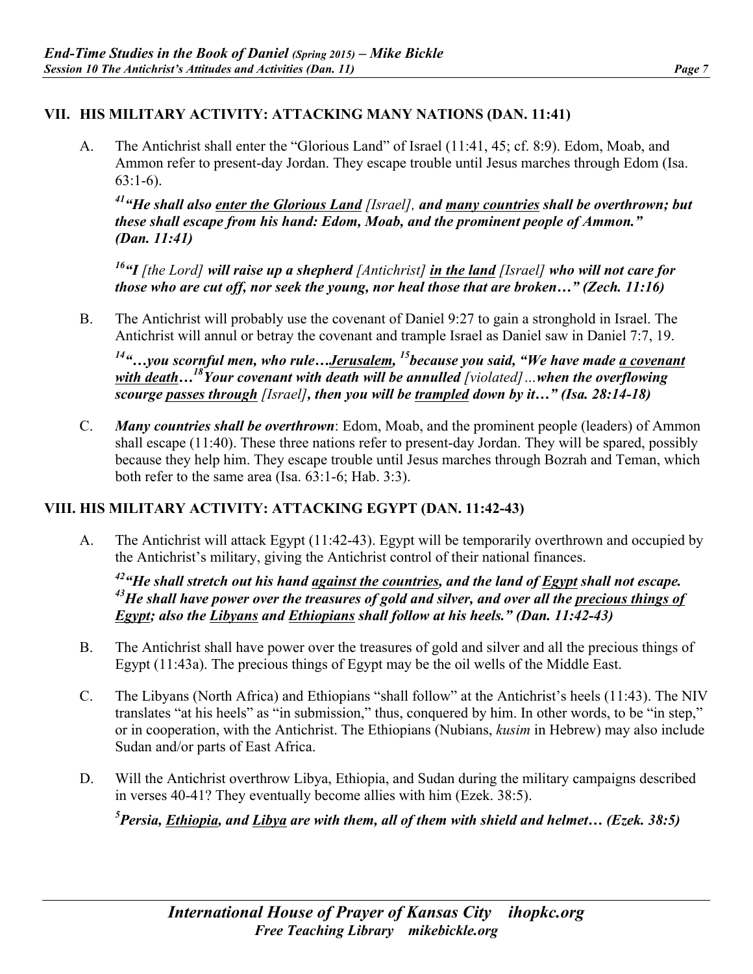## **VII. HIS MILITARY ACTIVITY: ATTACKING MANY NATIONS (DAN. 11:41)**

A. The Antichrist shall enter the "Glorious Land" of Israel (11:41, 45; cf. 8:9). Edom, Moab, and Ammon refer to present-day Jordan. They escape trouble until Jesus marches through Edom (Isa. 63:1-6).

*41"He shall also enter the Glorious Land [Israel], and many countries shall be overthrown; but these shall escape from his hand: Edom, Moab, and the prominent people of Ammon." (Dan. 11:41)* 

*16"I [the Lord] will raise up a shepherd [Antichrist] in the land [Israel] who will not care for those who are cut off, nor seek the young, nor heal those that are broken…" (Zech. 11:16)* 

B. The Antichrist will probably use the covenant of Daniel 9:27 to gain a stronghold in Israel. The Antichrist will annul or betray the covenant and trample Israel as Daniel saw in Daniel 7:7, 19.

*14"…you scornful men, who rule…Jerusalem, 15because you said, "We have made a covenant with death...*<sup>18</sup>Your covenant with death will be annulled [violated] …when the overflowing *scourge passes through [Israel], then you will be trampled down by it…" (Isa. 28:14-18)* 

C. *Many countries shall be overthrown*: Edom, Moab, and the prominent people (leaders) of Ammon shall escape (11:40). These three nations refer to present-day Jordan. They will be spared, possibly because they help him. They escape trouble until Jesus marches through Bozrah and Teman, which both refer to the same area (Isa. 63:1-6; Hab. 3:3).

## **VIII. HIS MILITARY ACTIVITY: ATTACKING EGYPT (DAN. 11:42-43)**

A. The Antichrist will attack Egypt (11:42-43). Egypt will be temporarily overthrown and occupied by the Antichrist's military, giving the Antichrist control of their national finances.

*42"He shall stretch out his hand against the countries, and the land of Egypt shall not escape. 43He shall have power over the treasures of gold and silver, and over all the precious things of Egypt; also the Libyans and Ethiopians shall follow at his heels." (Dan. 11:42-43)* 

- B. The Antichrist shall have power over the treasures of gold and silver and all the precious things of Egypt (11:43a). The precious things of Egypt may be the oil wells of the Middle East.
- C. The Libyans (North Africa) and Ethiopians "shall follow" at the Antichrist's heels (11:43). The NIV translates "at his heels" as "in submission," thus, conquered by him. In other words, to be "in step," or in cooperation, with the Antichrist. The Ethiopians (Nubians, *kusim* in Hebrew) may also include Sudan and/or parts of East Africa.
- D. Will the Antichrist overthrow Libya, Ethiopia, and Sudan during the military campaigns described in verses 40-41? They eventually become allies with him (Ezek. 38:5).

*5 Persia, Ethiopia, and Libya are with them, all of them with shield and helmet… (Ezek. 38:5)*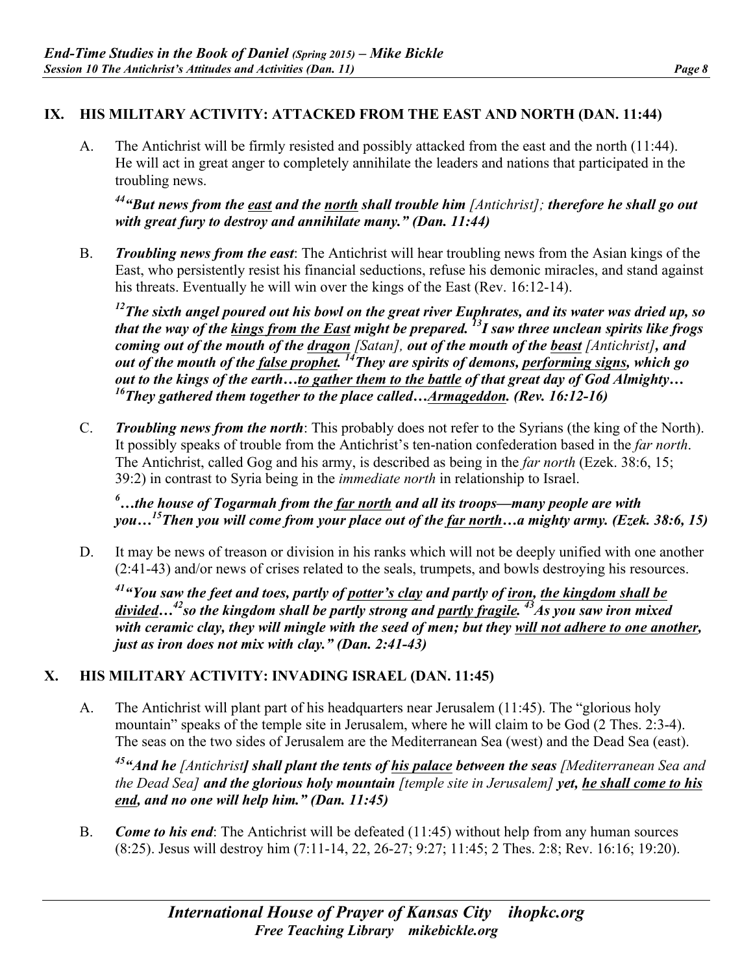## **IX. HIS MILITARY ACTIVITY: ATTACKED FROM THE EAST AND NORTH (DAN. 11:44)**

A. The Antichrist will be firmly resisted and possibly attacked from the east and the north (11:44). He will act in great anger to completely annihilate the leaders and nations that participated in the troubling news.

*44"But news from the east and the north shall trouble him [Antichrist]; therefore he shall go out with great fury to destroy and annihilate many." (Dan. 11:44)* 

B. *Troubling news from the east*: The Antichrist will hear troubling news from the Asian kings of the East, who persistently resist his financial seductions, refuse his demonic miracles, and stand against his threats. Eventually he will win over the kings of the East (Rev. 16:12-14).

*12The sixth angel poured out his bowl on the great river Euphrates, and its water was dried up, so that the way of the kings from the East might be prepared. 13I saw three unclean spirits like frogs coming out of the mouth of the dragon [Satan], out of the mouth of the beast [Antichrist], and out of the mouth of the false prophet. 14They are spirits of demons, performing signs, which go out to the kings of the earth…to gather them to the battle of that great day of God Almighty… 16They gathered them together to the place called…Armageddon. (Rev. 16:12-16)* 

C. *Troubling news from the north*: This probably does not refer to the Syrians (the king of the North). It possibly speaks of trouble from the Antichrist's ten-nation confederation based in the *far north*. The Antichrist, called Gog and his army, is described as being in the *far north* (Ezek. 38:6, 15; 39:2) in contrast to Syria being in the *immediate north* in relationship to Israel.

*6 …the house of Togarmah from the far north and all its troops—many people are with you…15Then you will come from your place out of the far north…a mighty army. (Ezek. 38:6, 15)*

D. It may be news of treason or division in his ranks which will not be deeply unified with one another (2:41-43) and/or news of crises related to the seals, trumpets, and bowls destroying his resources.

*41"You saw the feet and toes, partly of potter's clay and partly of iron, the kingdom shall be*  divided…<sup>42</sup>so the kingdom shall be partly strong and partly fragile.<sup>43</sup>As you saw iron mixed *with ceramic clay, they will mingle with the seed of men; but they will not adhere to one another, just as iron does not mix with clay." (Dan. 2:41-43)*

# **X. HIS MILITARY ACTIVITY: INVADING ISRAEL (DAN. 11:45)**

A. The Antichrist will plant part of his headquarters near Jerusalem (11:45). The "glorious holy mountain" speaks of the temple site in Jerusalem, where he will claim to be God (2 Thes. 2:3-4). The seas on the two sides of Jerusalem are the Mediterranean Sea (west) and the Dead Sea (east).

*45"And he [Antichrist] shall plant the tents of his palace between the seas [Mediterranean Sea and the Dead Sea] and the glorious holy mountain [temple site in Jerusalem] yet, he shall come to his end, and no one will help him." (Dan. 11:45)* 

B. *Come to his end*: The Antichrist will be defeated (11:45) without help from any human sources (8:25). Jesus will destroy him (7:11-14, 22, 26-27; 9:27; 11:45; 2 Thes. 2:8; Rev. 16:16; 19:20).